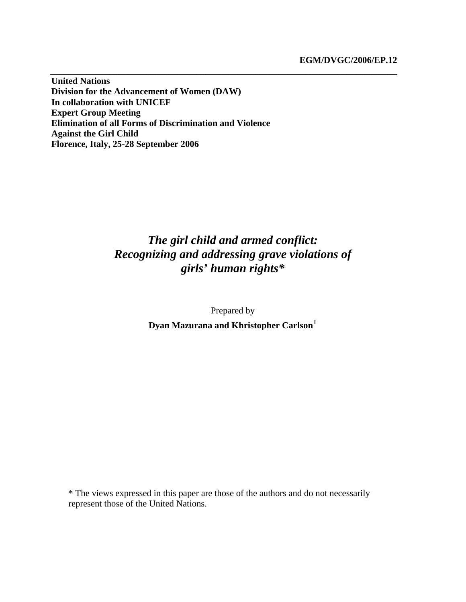**United Nations Division for the Advancement of Women (DAW) In collaboration with UNICEF Expert Group Meeting Elimination of all Forms of Discrimination and Violence Against the Girl Child Florence, Italy, 25-28 September 2006** 

# *The girl child and armed conflict: Recognizing and addressing grave violations of girls' human rights\**

\_\_\_\_\_\_\_\_\_\_\_\_\_\_\_\_\_\_\_\_\_\_\_\_\_\_\_\_\_\_\_\_\_\_\_\_\_\_\_\_\_\_\_\_\_\_\_\_\_\_\_\_\_\_\_\_\_\_\_\_\_\_\_\_\_\_\_\_\_\_\_\_\_\_\_\_

Prepared by

**Dyan Mazurana and Khristopher Carlson[1](#page-20-0)**

\* The views expressed in this paper are those of the authors and do not necessarily represent those of the United Nations.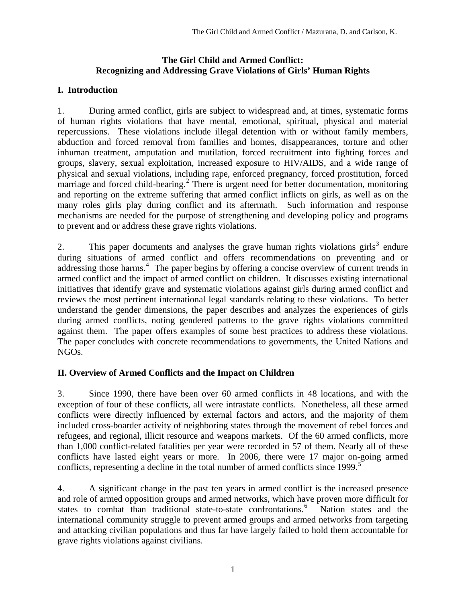#### **The Girl Child and Armed Conflict: Recognizing and Addressing Grave Violations of Girls' Human Rights**

# **I. Introduction**

1. During armed conflict, girls are subject to widespread and, at times, systematic forms of human rights violations that have mental, emotional, spiritual, physical and material repercussions. These violations include illegal detention with or without family members, abduction and forced removal from families and homes, disappearances, torture and other inhuman treatment, amputation and mutilation, forced recruitment into fighting forces and groups, slavery, sexual exploitation, increased exposure to HIV/AIDS, and a wide range of physical and sexual violations, including rape, enforced pregnancy, forced prostitution, forced marriage and forced child-bearing.<sup>[2](#page-20-1)</sup> There is urgent need for better documentation, monitoring and reporting on the extreme suffering that armed conflict inflicts on girls, as well as on the many roles girls play during conflict and its aftermath. Such information and response mechanisms are needed for the purpose of strengthening and developing policy and programs to prevent and or address these grave rights violations.

2. This paper documents and analyses the grave human rights violations girls<sup>[3](#page-20-1)</sup> endure during situations of armed conflict and offers recommendations on preventing and or addressing those harms.<sup>[4](#page-20-1)</sup> The paper begins by offering a concise overview of current trends in armed conflict and the impact of armed conflict on children. It discusses existing international initiatives that identify grave and systematic violations against girls during armed conflict and reviews the most pertinent international legal standards relating to these violations. To better understand the gender dimensions, the paper describes and analyzes the experiences of girls during armed conflicts, noting gendered patterns to the grave rights violations committed against them. The paper offers examples of some best practices to address these violations. The paper concludes with concrete recommendations to governments, the United Nations and NGOs.

# **II. Overview of Armed Conflicts and the Impact on Children**

3. Since 1990, there have been over 60 armed conflicts in 48 locations, and with the exception of four of these conflicts, all were intrastate conflicts. Nonetheless, all these armed conflicts were directly influenced by external factors and actors, and the majority of them included cross-boarder activity of neighboring states through the movement of rebel forces and refugees, and regional, illicit resource and weapons markets. Of the 60 armed conflicts, more than 1,000 conflict-related fatalities per year were recorded in 57 of them. Nearly all of these conflicts have lasted eight years or more. In 2006, there were 17 major on-going armed conflicts, representing a decline in the total number of armed conflicts since  $1999$ .<sup>[5](#page-20-1)</sup>

4. A significant change in the past ten years in armed conflict is the increased presence and role of armed opposition groups and armed networks, which have proven more difficult for states to combat than traditional state-to-state confrontations.<sup>[6](#page-20-1)</sup> Nation states and the international community struggle to prevent armed groups and armed networks from targeting and attacking civilian populations and thus far have largely failed to hold them accountable for grave rights violations against civilians.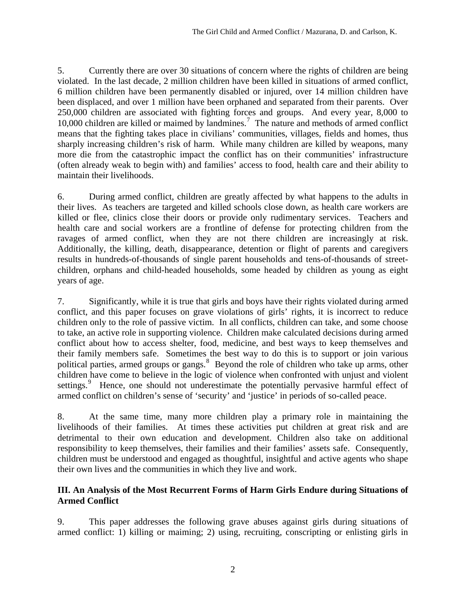5. Currently there are over 30 situations of concern where the rights of children are being violated. In the last decade, 2 million children have been killed in situations of armed conflict, 6 million children have been permanently disabled or injured, over 14 million children have been displaced, and over 1 million have been orphaned and separated from their parents. Over 250,000 children are associated with fighting forces and groups. And every year, 8,000 to 10,000 children are killed or maimed by landmines.<sup>[7](#page-20-1)</sup> The nature and methods of armed conflict means that the fighting takes place in civilians' communities, villages, fields and homes, thus sharply increasing children's risk of harm. While many children are killed by weapons, many more die from the catastrophic impact the conflict has on their communities' infrastructure (often already weak to begin with) and families' access to food, health care and their ability to maintain their livelihoods.

6. During armed conflict, children are greatly affected by what happens to the adults in their lives. As teachers are targeted and killed schools close down, as health care workers are killed or flee, clinics close their doors or provide only rudimentary services. Teachers and health care and social workers are a frontline of defense for protecting children from the ravages of armed conflict, when they are not there children are increasingly at risk. Additionally, the killing, death, disappearance, detention or flight of parents and caregivers results in hundreds-of-thousands of single parent households and tens-of-thousands of streetchildren, orphans and child-headed households, some headed by children as young as eight years of age.

7. Significantly, while it is true that girls and boys have their rights violated during armed conflict, and this paper focuses on grave violations of girls' rights, it is incorrect to reduce children only to the role of passive victim. In all conflicts, children can take, and some choose to take, an active role in supporting violence. Children make calculated decisions during armed conflict about how to access shelter, food, medicine, and best ways to keep themselves and their family members safe. Sometimes the best way to do this is to support or join various political parties, armed groups or gangs.<sup>[8](#page-20-1)</sup> Beyond the role of children who take up arms, other children have come to believe in the logic of violence when confronted with unjust and violent settings.<sup>[9](#page-20-1)</sup> Hence, one should not underestimate the potentially pervasive harmful effect of armed conflict on children's sense of 'security' and 'justice' in periods of so-called peace.

8. At the same time, many more children play a primary role in maintaining the livelihoods of their families. At times these activities put children at great risk and are detrimental to their own education and development. Children also take on additional responsibility to keep themselves, their families and their families' assets safe.Consequently, children must be understood and engaged as thoughtful, insightful and active agents who shape their own lives and the communities in which they live and work.

#### **III. An Analysis of the Most Recurrent Forms of Harm Girls Endure during Situations of Armed Conflict**

9. This paper addresses the following grave abuses against girls during situations of armed conflict: 1) killing or maiming; 2) using, recruiting, conscripting or enlisting girls in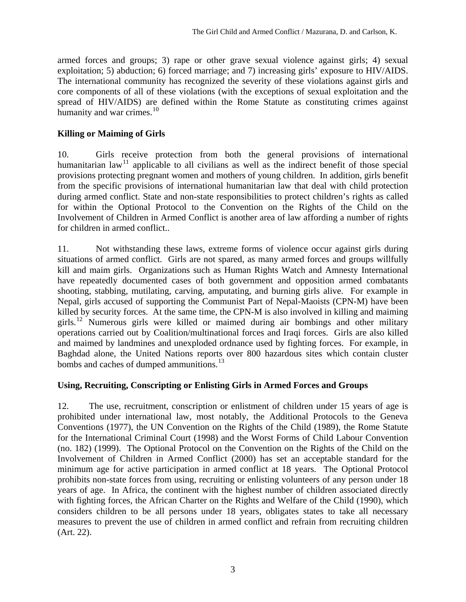armed forces and groups; 3) rape or other grave sexual violence against girls; 4) sexual exploitation; 5) abduction; 6) forced marriage; and 7) increasing girls' exposure to HIV/AIDS. The international community has recognized the severity of these violations against girls and core components of all of these violations (with the exceptions of sexual exploitation and the spread of HIV/AIDS) are defined within the Rome Statute as constituting crimes against humanity and war crimes. $10$ 

# **Killing or Maiming of Girls**

10. Girls receive protection from both the general provisions of international humanitarian law<sup>[11](#page-20-1)</sup> applicable to all civilians as well as the indirect benefit of those special provisions protecting pregnant women and mothers of young children. In addition, girls benefit from the specific provisions of international humanitarian law that deal with child protection during armed conflict. State and non-state responsibilities to protect children's rights as called for within the Optional Protocol to the Convention on the Rights of the Child on the Involvement of Children in Armed Conflict is another area of law affording a number of rights for children in armed conflict..

11. Not withstanding these laws, extreme forms of violence occur against girls during situations of armed conflict. Girls are not spared, as many armed forces and groups willfully kill and maim girls. Organizations such as Human Rights Watch and Amnesty International have repeatedly documented cases of both government and opposition armed combatants shooting, stabbing, mutilating, carving, amputating, and burning girls alive. For example in Nepal, girls accused of supporting the Communist Part of Nepal-Maoists (CPN-M) have been killed by security forces. At the same time, the CPN-M is also involved in killing and maiming girls.<sup>[12](#page-20-1)</sup> Numerous girls were killed or maimed during air bombings and other military operations carried out by Coalition/multinational forces and Iraqi forces. Girls are also killed and maimed by landmines and unexploded ordnance used by fighting forces. For example, in Baghdad alone, the United Nations reports over 800 hazardous sites which contain cluster bombs and caches of dumped ammunitions.<sup>[13](#page-20-1)</sup>

#### **Using, Recruiting, Conscripting or Enlisting Girls in Armed Forces and Groups**

12. The use, recruitment, conscription or enlistment of children under 15 years of age is prohibited under international law, most notably, the Additional Protocols to the Geneva Conventions (1977), the UN Convention on the Rights of the Child (1989), the Rome Statute for the International Criminal Court (1998) and the Worst Forms of Child Labour Convention (no. 182) (1999). The Optional Protocol on the Convention on the Rights of the Child on the Involvement of Children in Armed Conflict (2000) has set an acceptable standard for the minimum age for active participation in armed conflict at 18 years. The Optional Protocol prohibits non-state forces from using, recruiting or enlisting volunteers of any person under 18 years of age. In Africa, the continent with the highest number of children associated directly with fighting forces, the African Charter on the Rights and Welfare of the Child (1990), which considers children to be all persons under 18 years, obligates states to take all necessary measures to prevent the use of children in armed conflict and refrain from recruiting children (Art. 22).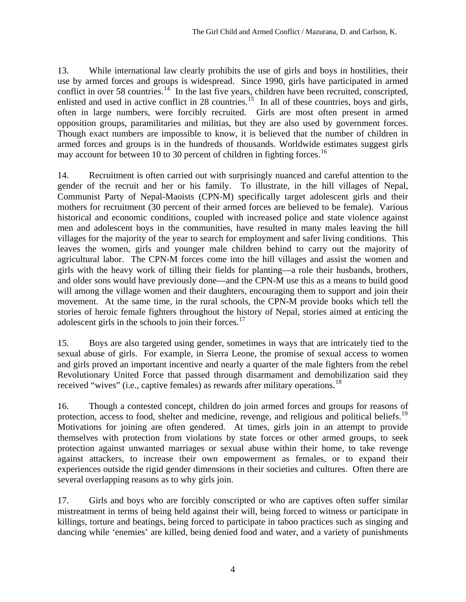13. While international law clearly prohibits the use of girls and boys in hostilities, their use by armed forces and groups is widespread. Since 1990, girls have participated in armed conflict in over 58 countries.<sup>[14](#page-20-1)</sup> In the last five years, children have been recruited, conscripted, enlisted and used in active conflict in 28 countries.<sup>[15](#page-20-1)</sup> In all of these countries, boys and girls, often in large numbers, were forcibly recruited. Girls are most often present in armed opposition groups, paramilitaries and militias, but they are also used by government forces. Though exact numbers are impossible to know, it is believed that the number of children in armed forces and groups is in the hundreds of thousands. Worldwide estimates suggest girls may account for between 10 to 30 percent of children in fighting forces.<sup>[16](#page-20-1)</sup>

14. Recruitment is often carried out with surprisingly nuanced and careful attention to the gender of the recruit and her or his family. To illustrate, in the hill villages of Nepal, Communist Party of Nepal-Maoists (CPN-M) specifically target adolescent girls and their mothers for recruitment (30 percent of their armed forces are believed to be female). Various historical and economic conditions, coupled with increased police and state violence against men and adolescent boys in the communities, have resulted in many males leaving the hill villages for the majority of the year to search for employment and safer living conditions. This leaves the women, girls and younger male children behind to carry out the majority of agricultural labor. The CPN-M forces come into the hill villages and assist the women and girls with the heavy work of tilling their fields for planting—a role their husbands, brothers, and older sons would have previously done—and the CPN-M use this as a means to build good will among the village women and their daughters, encouraging them to support and join their movement. At the same time, in the rural schools, the CPN-M provide books which tell the stories of heroic female fighters throughout the history of Nepal, stories aimed at enticing the adolescent girls in the schools to join their forces.<sup>[17](#page-20-1)</sup>

15. Boys are also targeted using gender, sometimes in ways that are intricately tied to the sexual abuse of girls. For example, in Sierra Leone, the promise of sexual access to women and girls proved an important incentive and nearly a quarter of the male fighters from the rebel Revolutionary United Force that passed through disarmament and demobilization said they received "wives" (i.e., captive females) as rewards after military operations.<sup>[18](#page-20-1)</sup>

16. Though a contested concept, children do join armed forces and groups for reasons of protection, access to food, shelter and medicine, revenge, and religious and political beliefs.<sup>[19](#page-20-1)</sup> Motivations for joining are often gendered. At times, girls join in an attempt to provide themselves with protection from violations by state forces or other armed groups, to seek protection against unwanted marriages or sexual abuse within their home, to take revenge against attackers, to increase their own empowerment as females, or to expand their experiences outside the rigid gender dimensions in their societies and cultures. Often there are several overlapping reasons as to why girls join.

17. Girls and boys who are forcibly conscripted or who are captives often suffer similar mistreatment in terms of being held against their will, being forced to witness or participate in killings, torture and beatings, being forced to participate in taboo practices such as singing and dancing while 'enemies' are killed, being denied food and water, and a variety of punishments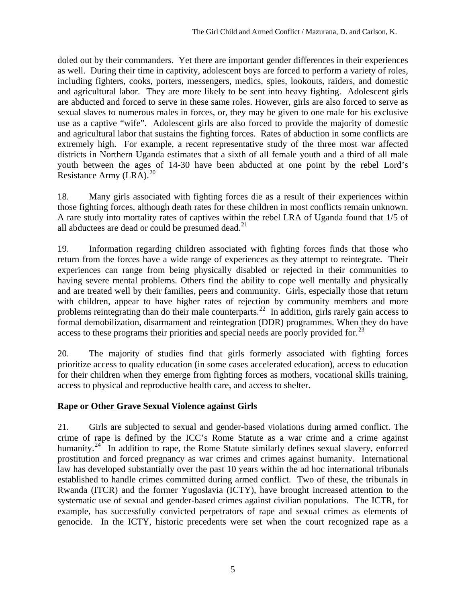doled out by their commanders. Yet there are important gender differences in their experiences as well. During their time in captivity, adolescent boys are forced to perform a variety of roles, including fighters, cooks, porters, messengers, medics, spies, lookouts, raiders, and domestic and agricultural labor. They are more likely to be sent into heavy fighting. Adolescent girls are abducted and forced to serve in these same roles. However, girls are also forced to serve as sexual slaves to numerous males in forces, or, they may be given to one male for his exclusive use as a captive "wife". Adolescent girls are also forced to provide the majority of domestic and agricultural labor that sustains the fighting forces. Rates of abduction in some conflicts are extremely high. For example, a recent representative study of the three most war affected districts in Northern Uganda estimates that a sixth of all female youth and a third of all male youth between the ages of 14-30 have been abducted at one point by the rebel Lord's Resistance Army (LRA).<sup>[20](#page-20-1)</sup>

18. Many girls associated with fighting forces die as a result of their experiences within those fighting forces, although death rates for these children in most conflicts remain unknown. A rare study into mortality rates of captives within the rebel LRA of Uganda found that 1/5 of all abductees are dead or could be presumed dead. $^{21}$  $^{21}$  $^{21}$ 

19. Information regarding children associated with fighting forces finds that those who return from the forces have a wide range of experiences as they attempt to reintegrate. Their experiences can range from being physically disabled or rejected in their communities to having severe mental problems. Others find the ability to cope well mentally and physically and are treated well by their families, peers and community. Girls, especially those that return with children, appear to have higher rates of rejection by community members and more problems reintegrating than do their male counterparts.<sup>[22](#page-20-1)</sup> In addition, girls rarely gain access to formal demobilization, disarmament and reintegration (DDR) programmes. When they do have access to these programs their priorities and special needs are poorly provided for.<sup>[23](#page-20-1)</sup>

20. The majority of studies find that girls formerly associated with fighting forces prioritize access to quality education (in some cases accelerated education), access to education for their children when they emerge from fighting forces as mothers, vocational skills training, access to physical and reproductive health care, and access to shelter.

# **Rape or Other Grave Sexual Violence against Girls**

21. Girls are subjected to sexual and gender-based violations during armed conflict. The crime of rape is defined by the ICC's Rome Statute as a war crime and a crime against humanity.<sup>[24](#page-20-1)</sup> In addition to rape, the Rome Statute similarly defines sexual slavery, enforced prostitution and forced pregnancy as war crimes and crimes against humanity. International law has developed substantially over the past 10 years within the ad hoc international tribunals established to handle crimes committed during armed conflict. Two of these, the tribunals in Rwanda (ITCR) and the former Yugoslavia (ICTY), have brought increased attention to the systematic use of sexual and gender-based crimes against civilian populations. The ICTR, for example, has successfully convicted perpetrators of rape and sexual crimes as elements of genocide. In the ICTY, historic precedents were set when the court recognized rape as a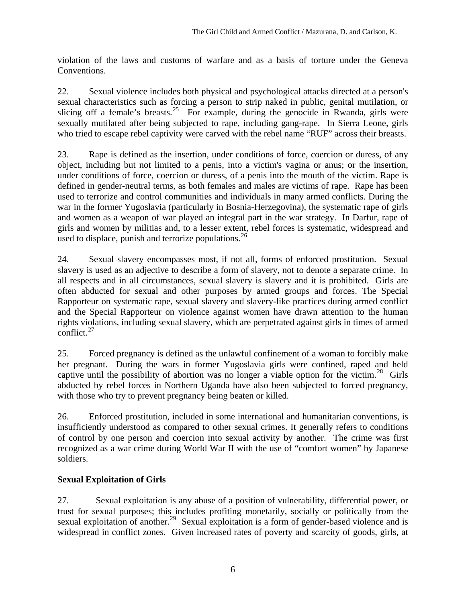violation of the laws and customs of warfare and as a basis of torture under the Geneva Conventions.

22. Sexual violence includes both physical and psychological attacks directed at a person's sexual characteristics such as forcing a person to strip naked in public, genital mutilation, or slicing off a female's breasts.<sup>[25](#page-20-1)</sup> For example, during the genocide in Rwanda, girls were sexually mutilated after being subjected to rape, including gang-rape. In Sierra Leone, girls who tried to escape rebel captivity were carved with the rebel name "RUF" across their breasts.

23. Rape is defined as the insertion, under conditions of force, coercion or duress, of any object, including but not limited to a penis, into a victim's vagina or anus; or the insertion, under conditions of force, coercion or duress, of a penis into the mouth of the victim. Rape is defined in gender-neutral terms, as both females and males are victims of rape. Rape has been used to terrorize and control communities and individuals in many armed conflicts. During the war in the former Yugoslavia (particularly in Bosnia-Herzegovina), the systematic rape of girls and women as a weapon of war played an integral part in the war strategy. In Darfur, rape of girls and women by militias and, to a lesser extent, rebel forces is systematic, widespread and used to displace, punish and terrorize populations.<sup>[26](#page-20-1)</sup>

24. Sexual slavery encompasses most, if not all, forms of enforced prostitution. Sexual slavery is used as an adjective to describe a form of slavery, not to denote a separate crime. In all respects and in all circumstances, sexual slavery is slavery and it is prohibited. Girls are often abducted for sexual and other purposes by armed groups and forces. The Special Rapporteur on systematic rape, sexual slavery and slavery-like practices during armed conflict and the Special Rapporteur on violence against women have drawn attention to the human rights violations, including sexual slavery, which are perpetrated against girls in times of armed conflict. $27$ 

25. Forced pregnancy is defined as the unlawful confinement of a woman to forcibly make her pregnant. During the wars in former Yugoslavia girls were confined, raped and held captive until the possibility of abortion was no longer a viable option for the victim.<sup>[28](#page-20-1)</sup> Girls abducted by rebel forces in Northern Uganda have also been subjected to forced pregnancy, with those who try to prevent pregnancy being beaten or killed.

26. Enforced prostitution, included in some international and humanitarian conventions, is insufficiently understood as compared to other sexual crimes. It generally refers to conditions of control by one person and coercion into sexual activity by another. The crime was first recognized as a war crime during World War II with the use of "comfort women" by Japanese soldiers.

# **Sexual Exploitation of Girls**

27. Sexual exploitation is any abuse of a position of vulnerability, differential power, or trust for sexual purposes; this includes profiting monetarily, socially or politically from the sexual exploitation of another.<sup>[29](#page-20-1)</sup> Sexual exploitation is a form of gender-based violence and is widespread in conflict zones. Given increased rates of poverty and scarcity of goods, girls, at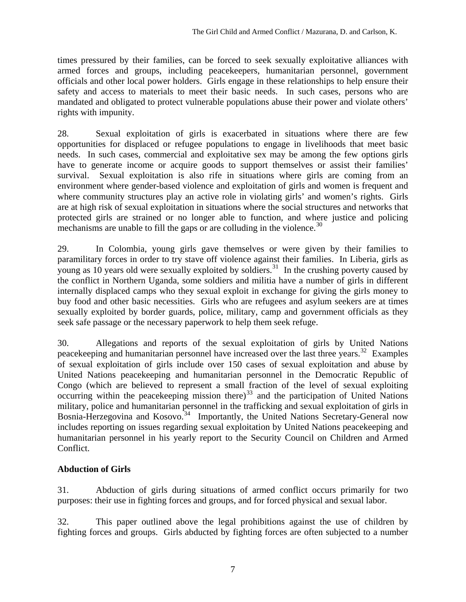times pressured by their families, can be forced to seek sexually exploitative alliances with armed forces and groups, including peacekeepers, humanitarian personnel, government officials and other local power holders. Girls engage in these relationships to help ensure their safety and access to materials to meet their basic needs. In such cases, persons who are mandated and obligated to protect vulnerable populations abuse their power and violate others' rights with impunity.

28. Sexual exploitation of girls is exacerbated in situations where there are few opportunities for displaced or refugee populations to engage in livelihoods that meet basic needs. In such cases, commercial and exploitative sex may be among the few options girls have to generate income or acquire goods to support themselves or assist their families' survival. Sexual exploitation is also rife in situations where girls are coming from an environment where gender-based violence and exploitation of girls and women is frequent and where community structures play an active role in violating girls' and women's rights. Girls are at high risk of sexual exploitation in situations where the social structures and networks that protected girls are strained or no longer able to function, and where justice and policing mechanisms are unable to fill the gaps or are colluding in the violence.<sup>[30](#page-20-1)</sup>

29. In Colombia, young girls gave themselves or were given by their families to paramilitary forces in order to try stave off violence against their families. In Liberia, girls as young as 10 years old were sexually exploited by soldiers.<sup>[31](#page-20-1)</sup> In the crushing poverty caused by the conflict in Northern Uganda, some soldiers and militia have a number of girls in different internally displaced camps who they sexual exploit in exchange for giving the girls money to buy food and other basic necessities. Girls who are refugees and asylum seekers are at times sexually exploited by border guards, police, military, camp and government officials as they seek safe passage or the necessary paperwork to help them seek refuge.

30. Allegations and reports of the sexual exploitation of girls by United Nations peacekeeping and humanitarian personnel have increased over the last three years.<sup>[32](#page-20-1)</sup> Examples of sexual exploitation of girls include over 150 cases of sexual exploitation and abuse by United Nations peacekeeping and humanitarian personnel in the Democratic Republic of Congo (which are believed to represent a small fraction of the level of sexual exploiting occurring within the peacekeeping mission there)<sup>[33](#page-20-1)</sup> and the participation of United Nations military, police and humanitarian personnel in the trafficking and sexual exploitation of girls in Bosnia-Herzegovina and Kosovo.<sup>[34](#page-20-1)</sup> Importantly, the United Nations Secretary-General now includes reporting on issues regarding sexual exploitation by United Nations peacekeeping and humanitarian personnel in his yearly report to the Security Council on Children and Armed Conflict.

# **Abduction of Girls**

31. Abduction of girls during situations of armed conflict occurs primarily for two purposes: their use in fighting forces and groups, and for forced physical and sexual labor.

32. This paper outlined above the legal prohibitions against the use of children by fighting forces and groups. Girls abducted by fighting forces are often subjected to a number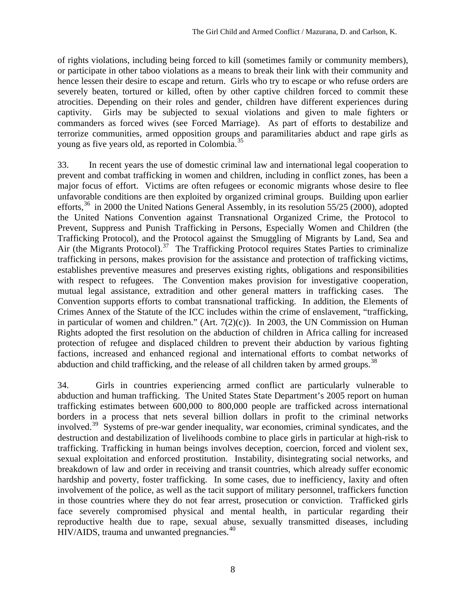of rights violations, including being forced to kill (sometimes family or community members), or participate in other taboo violations as a means to break their link with their community and hence lessen their desire to escape and return. Girls who try to escape or who refuse orders are severely beaten, tortured or killed, often by other captive children forced to commit these atrocities. Depending on their roles and gender, children have different experiences during captivity. Girls may be subjected to sexual violations and given to male fighters or commanders as forced wives (see Forced Marriage). As part of efforts to destabilize and terrorize communities, armed opposition groups and paramilitaries abduct and rape girls as young as five years old, as reported in Colombia.<sup>[35](#page-20-1)</sup>

33. In recent years the use of domestic criminal law and international legal cooperation to prevent and combat trafficking in women and children, including in conflict zones, has been a major focus of effort. Victims are often refugees or economic migrants whose desire to flee unfavorable conditions are then exploited by organized criminal groups. Building upon earlier efforts, $36$  in 2000 the United Nations General Assembly, in its resolution 55/25 (2000), adopted the United Nations Convention against Transnational Organized Crime, the Protocol to Prevent, Suppress and Punish Trafficking in Persons, Especially Women and Children (the Trafficking Protocol), and the Protocol against the Smuggling of Migrants by Land, Sea and Air (the Migrants Protocol).<sup>[37](#page-20-1)</sup> The Trafficking Protocol requires States Parties to criminalize trafficking in persons, makes provision for the assistance and protection of trafficking victims, establishes preventive measures and preserves existing rights, obligations and responsibilities with respect to refugees. The Convention makes provision for investigative cooperation, mutual legal assistance, extradition and other general matters in trafficking cases. Convention supports efforts to combat transnational trafficking. In addition, the Elements of Crimes Annex of the Statute of the ICC includes within the crime of enslavement, "trafficking, in particular of women and children." (Art.  $7(2)(c)$ ). In 2003, the UN Commission on Human Rights adopted the first resolution on the abduction of children in Africa calling for increased protection of refugee and displaced children to prevent their abduction by various fighting factions, increased and enhanced regional and international efforts to combat networks of abduction and child trafficking, and the release of all children taken by armed groups.<sup>[38](#page-20-1)</sup>

34. Girls in countries experiencing armed conflict are particularly vulnerable to abduction and human trafficking. The United States State Department's 2005 report on human trafficking estimates between 600,000 to 800,000 people are trafficked across international borders in a process that nets several billion dollars in profit to the criminal networks involved.[39](#page-20-1) Systems of pre-war gender inequality, war economies, criminal syndicates, and the destruction and destabilization of livelihoods combine to place girls in particular at high-risk to trafficking. Trafficking in human beings involves deception, coercion, forced and violent sex, sexual exploitation and enforced prostitution. Instability, disintegrating social networks, and breakdown of law and order in receiving and transit countries, which already suffer economic hardship and poverty, foster trafficking. In some cases, due to inefficiency, laxity and often involvement of the police, as well as the tacit support of military personnel, traffickers function in those countries where they do not fear arrest, prosecution or conviction. Trafficked girls face severely compromised physical and mental health, in particular regarding their reproductive health due to rape, sexual abuse, sexually transmitted diseases, including HIV/AIDS, trauma and unwanted pregnancies.<sup>[40](#page-20-1)</sup>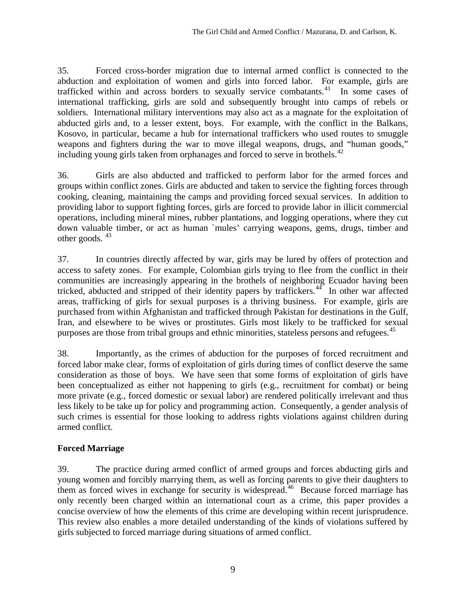35. Forced cross-border migration due to internal armed conflict is connected to the abduction and exploitation of women and girls into forced labor. For example, girls are trafficked within and across borders to sexually service combatants.<sup>[41](#page-20-1)</sup> In some cases of international trafficking, girls are sold and subsequently brought into camps of rebels or soldiers. International military interventions may also act as a magnate for the exploitation of abducted girls and, to a lesser extent, boys. For example, with the conflict in the Balkans, Kosovo, in particular, became a hub for international traffickers who used routes to smuggle weapons and fighters during the war to move illegal weapons, drugs, and "human goods," including young girls taken from orphanages and forced to serve in brothels.<sup>[42](#page-20-1)</sup>

36. Girls are also abducted and trafficked to perform labor for the armed forces and groups within conflict zones. Girls are abducted and taken to service the fighting forces through cooking, cleaning, maintaining the camps and providing forced sexual services. In addition to providing labor to support fighting forces, girls are forced to provide labor in illicit commercial operations, including mineral mines, rubber plantations, and logging operations, where they cut down valuable timber, or act as human `mules' carrying weapons, gems, drugs, timber and other goods. <sup>[43](#page-20-1)</sup>

37. In countries directly affected by war, girls may be lured by offers of protection and access to safety zones. For example, Colombian girls trying to flee from the conflict in their communities are increasingly appearing in the brothels of neighboring Ecuador having been tricked, abducted and stripped of their identity papers by traffickers.<sup>[44](#page-20-1)</sup> In other war affected areas, trafficking of girls for sexual purposes is a thriving business. For example, girls are purchased from within Afghanistan and trafficked through Pakistan for destinations in the Gulf, Iran, and elsewhere to be wives or prostitutes. Girls most likely to be trafficked for sexual purposes are those from tribal groups and ethnic minorities, stateless persons and refugees.<sup>[45](#page-20-1)</sup>

38. Importantly, as the crimes of abduction for the purposes of forced recruitment and forced labor make clear, forms of exploitation of girls during times of conflict deserve the same consideration as those of boys. We have seen that some forms of exploitation of girls have been conceptualized as either not happening to girls (e.g., recruitment for combat) or being more private (e.g., forced domestic or sexual labor) are rendered politically irrelevant and thus less likely to be take up for policy and programming action. Consequently, a gender analysis of such crimes is essential for those looking to address rights violations against children during armed conflict.

# **Forced Marriage**

39. The practice during armed conflict of armed groups and forces abducting girls and young women and forcibly marrying them, as well as forcing parents to give their daughters to them as forced wives in exchange for security is widespread.<sup>[46](#page-20-1)</sup> Because forced marriage has only recently been charged within an international court as a crime, this paper provides a concise overview of how the elements of this crime are developing within recent jurisprudence. This review also enables a more detailed understanding of the kinds of violations suffered by girls subjected to forced marriage during situations of armed conflict.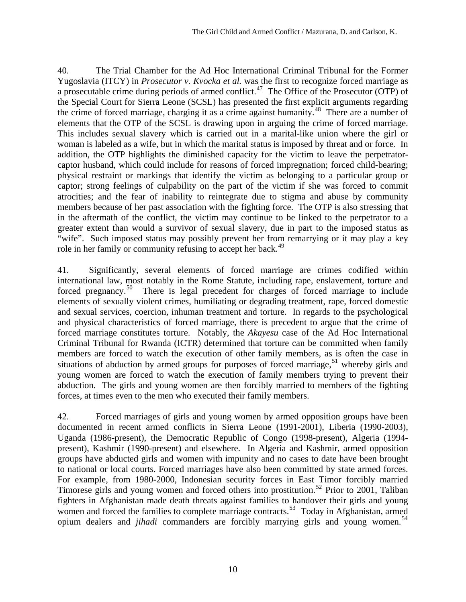40. The Trial Chamber for the Ad Hoc International Criminal Tribunal for the Former Yugoslavia (ITCY) in *Prosecutor v. Kvocka et al.* was the first to recognize forced marriage as a prosecutable crime during periods of armed conflict.<sup>[47](#page-20-1)</sup> The Office of the Prosecutor (OTP) of the Special Court for Sierra Leone (SCSL) has presented the first explicit arguments regarding the crime of forced marriage, charging it as a crime against humanity.<sup>[48](#page-20-1)</sup> There are a number of elements that the OTP of the SCSL is drawing upon in arguing the crime of forced marriage. This includes sexual slavery which is carried out in a marital-like union where the girl or woman is labeled as a wife, but in which the marital status is imposed by threat and or force. In addition, the OTP highlights the diminished capacity for the victim to leave the perpetratorcaptor husband, which could include for reasons of forced impregnation; forced child-bearing; physical restraint or markings that identify the victim as belonging to a particular group or captor; strong feelings of culpability on the part of the victim if she was forced to commit atrocities; and the fear of inability to reintegrate due to stigma and abuse by community members because of her past association with the fighting force. The OTP is also stressing that in the aftermath of the conflict, the victim may continue to be linked to the perpetrator to a greater extent than would a survivor of sexual slavery, due in part to the imposed status as "wife". Such imposed status may possibly prevent her from remarrying or it may play a key role in her family or community refusing to accept her back.<sup>[49](#page-20-1)</sup>

41. Significantly, several elements of forced marriage are crimes codified within international law, most notably in the Rome Statute, including rape, enslavement, torture and forced pregnancy.<sup>[50](#page-20-1)</sup> There is legal precedent for charges of forced marriage to include elements of sexually violent crimes, humiliating or degrading treatment, rape, forced domestic and sexual services, coercion, inhuman treatment and torture. In regards to the psychological and physical characteristics of forced marriage, there is precedent to argue that the crime of forced marriage constitutes torture. Notably, the *Akayesu* case of the Ad Hoc International Criminal Tribunal for Rwanda (ICTR) determined that torture can be committed when family members are forced to watch the execution of other family members, as is often the case in situations of abduction by armed groups for purposes of forced marriage,  $51$  whereby girls and young women are forced to watch the execution of family members trying to prevent their abduction. The girls and young women are then forcibly married to members of the fighting forces, at times even to the men who executed their family members.

42. Forced marriages of girls and young women by armed opposition groups have been documented in recent armed conflicts in Sierra Leone (1991-2001), Liberia (1990-2003), Uganda (1986-present), the Democratic Republic of Congo (1998-present), Algeria (1994 present), Kashmir (1990-present) and elsewhere. In Algeria and Kashmir, armed opposition groups have abducted girls and women with impunity and no cases to date have been brought to national or local courts. Forced marriages have also been committed by state armed forces. For example, from 1980-2000, Indonesian security forces in East Timor forcibly married Timorese girls and young women and forced others into prostitution.<sup>[52](#page-20-1)</sup> Prior to 2001, Taliban fighters in Afghanistan made death threats against families to handover their girls and young women and forced the families to complete marriage contracts.<sup>[53](#page-20-1)</sup> Today in Afghanistan, armed opium dealers and *jihadi* commanders are forcibly marrying girls and young women.<sup>[54](#page-20-1)</sup>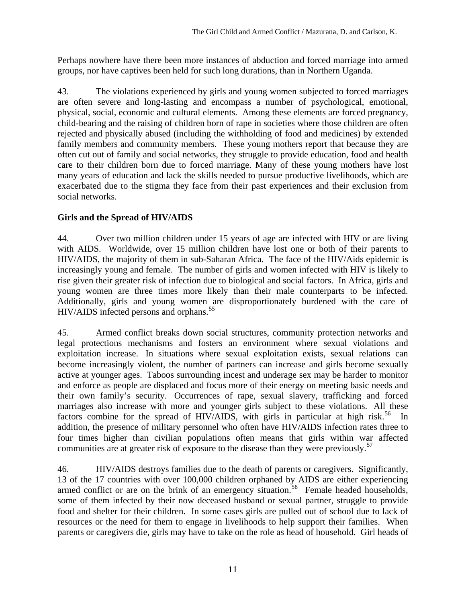Perhaps nowhere have there been more instances of abduction and forced marriage into armed groups, nor have captives been held for such long durations, than in Northern Uganda.

43. The violations experienced by girls and young women subjected to forced marriages are often severe and long-lasting and encompass a number of psychological, emotional, physical, social, economic and cultural elements. Among these elements are forced pregnancy, child-bearing and the raising of children born of rape in societies where those children are often rejected and physically abused (including the withholding of food and medicines) by extended family members and community members. These young mothers report that because they are often cut out of family and social networks, they struggle to provide education, food and health care to their children born due to forced marriage. Many of these young mothers have lost many years of education and lack the skills needed to pursue productive livelihoods, which are exacerbated due to the stigma they face from their past experiences and their exclusion from social networks.

#### **Girls and the Spread of HIV/AIDS**

44. Over two million children under 15 years of age are infected with HIV or are living with AIDS. Worldwide, over 15 million children have lost one or both of their parents to HIV/AIDS, the majority of them in sub-Saharan Africa. The face of the HIV/Aids epidemic is increasingly young and female. The number of girls and women infected with HIV is likely to rise given their greater risk of infection due to biological and social factors. In Africa, girls and young women are three times more likely than their male counterparts to be infected. Additionally, girls and young women are disproportionately burdened with the care of HIV/AIDS infected persons and orphans.<sup>[55](#page-20-1)</sup>

45. Armed conflict breaks down social structures, community protection networks and legal protections mechanisms and fosters an environment where sexual violations and exploitation increase. In situations where sexual exploitation exists, sexual relations can become increasingly violent, the number of partners can increase and girls become sexually active at younger ages. Taboos surrounding incest and underage sex may be harder to monitor and enforce as people are displaced and focus more of their energy on meeting basic needs and their own family's security. Occurrences of rape, sexual slavery, trafficking and forced marriages also increase with more and younger girls subject to these violations. All these factors combine for the spread of HIV/AIDS, with girls in particular at high risk.<sup>[56](#page-20-1)</sup> In addition, the presence of military personnel who often have HIV/AIDS infection rates three to four times higher than civilian populations often means that girls within war affected communities are at greater risk of exposure to the disease than they were previously.<sup>[57](#page-20-1)</sup>

46. HIV/AIDS destroys families due to the death of parents or caregivers. Significantly, 13 of the 17 countries with over 100,000 children orphaned by AIDS are either experiencing armed conflict or are on the brink of an emergency situation.<sup>[58](#page-20-1)</sup> Female headed households, some of them infected by their now deceased husband or sexual partner, struggle to provide food and shelter for their children. In some cases girls are pulled out of school due to lack of resources or the need for them to engage in livelihoods to help support their families. When parents or caregivers die, girls may have to take on the role as head of household. Girl heads of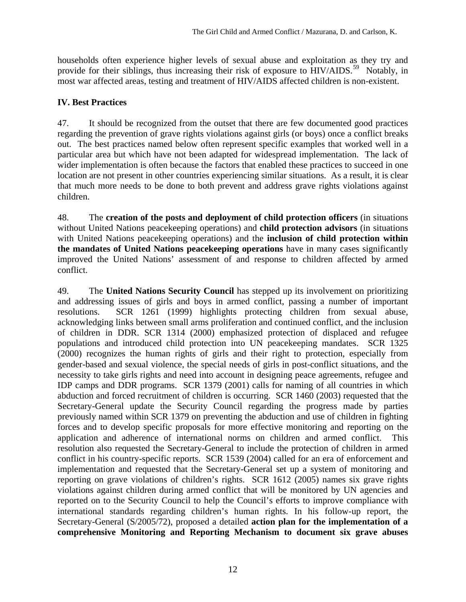households often experience higher levels of sexual abuse and exploitation as they try and provide for their siblings, thus increasing their risk of exposure to HIV/AIDS.<sup>[59](#page-20-1)</sup> Notably, in most war affected areas, testing and treatment of HIV/AIDS affected children is non-existent.

#### **IV. Best Practices**

47. It should be recognized from the outset that there are few documented good practices regarding the prevention of grave rights violations against girls (or boys) once a conflict breaks out. The best practices named below often represent specific examples that worked well in a particular area but which have not been adapted for widespread implementation. The lack of wider implementation is often because the factors that enabled these practices to succeed in one location are not present in other countries experiencing similar situations. As a result, it is clear that much more needs to be done to both prevent and address grave rights violations against children.

48. The **creation of the posts and deployment of child protection officers** (in situations without United Nations peacekeeping operations) and **child protection advisors** (in situations with United Nations peacekeeping operations) and the **inclusion of child protection within the mandates of United Nations peacekeeping operations** have in many cases significantly improved the United Nations' assessment of and response to children affected by armed conflict.

49. The **United Nations Security Council** has stepped up its involvement on prioritizing and addressing issues of girls and boys in armed conflict, passing a number of important resolutions. SCR 1261 (1999) highlights protecting children from sexual abuse, acknowledging links between small arms proliferation and continued conflict, and the inclusion of children in DDR. SCR 1314 (2000) emphasized protection of displaced and refugee populations and introduced child protection into UN peacekeeping mandates. SCR 1325 (2000) recognizes the human rights of girls and their right to protection, especially from gender-based and sexual violence, the special needs of girls in post-conflict situations, and the necessity to take girls rights and need into account in designing peace agreements, refugee and IDP camps and DDR programs. SCR 1379 (2001) calls for naming of all countries in which abduction and forced recruitment of children is occurring. SCR 1460 (2003) requested that the Secretary-General update the Security Council regarding the progress made by parties previously named within SCR 1379 on preventing the abduction and use of children in fighting forces and to develop specific proposals for more effective monitoring and reporting on the application and adherence of international norms on children and armed conflict. This resolution also requested the Secretary-General to include the protection of children in armed conflict in his country-specific reports. SCR 1539 (2004) called for an era of enforcement and implementation and requested that the Secretary-General set up a system of monitoring and reporting on grave violations of children's rights. SCR 1612 (2005) names six grave rights violations against children during armed conflict that will be monitored by UN agencies and reported on to the Security Council to help the Council's efforts to improve compliance with international standards regarding children's human rights. In his follow-up report, the Secretary-General (S/2005/72), proposed a detailed **action plan for the implementation of a comprehensive Monitoring and Reporting Mechanism to document six grave abuses**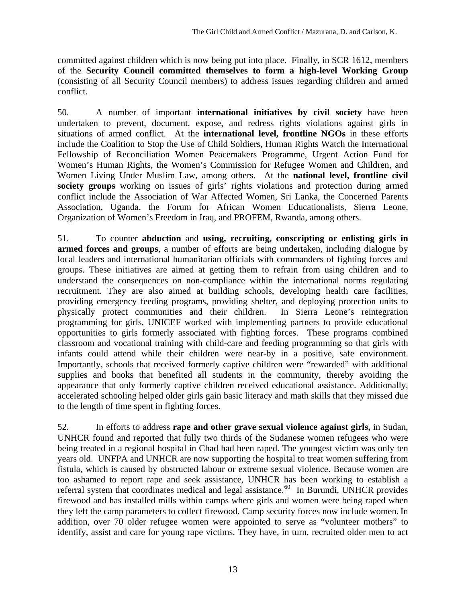committed against children which is now being put into place. Finally, in SCR 1612, members of the **Security Council committed themselves to form a high-level Working Group** (consisting of all Security Council members) to address issues regarding children and armed conflict.

50. A number of important **international initiatives by civil society** have been undertaken to prevent, document, expose, and redress rights violations against girls in situations of armed conflict. At the **international level, frontline NGOs** in these efforts include the Coalition to Stop the Use of Child Soldiers, Human Rights Watch the International Fellowship of Reconciliation Women Peacemakers Programme, Urgent Action Fund for Women's Human Rights, the Women's Commission for Refugee Women and Children, and Women Living Under Muslim Law, among others. At the **national level, frontline civil**  society groups working on issues of girls' rights violations and protection during armed conflict include the Association of War Affected Women, Sri Lanka, the Concerned Parents Association, Uganda, the Forum for African Women Educationalists, Sierra Leone, Organization of Women's Freedom in Iraq, and PROFEM, Rwanda, among others.

51. To counter **abduction** and **using, recruiting, conscripting or enlisting girls in armed forces and groups**, a number of efforts are being undertaken, including dialogue by local leaders and international humanitarian officials with commanders of fighting forces and groups. These initiatives are aimed at getting them to refrain from using children and to understand the consequences on non-compliance within the international norms regulating recruitment. They are also aimed at building schools, developing health care facilities, providing emergency feeding programs, providing shelter, and deploying protection units to physically protect communities and their children. In Sierra Leone's reintegration programming for girls, UNICEF worked with implementing partners to provide educational opportunities to girls formerly associated with fighting forces. These programs combined classroom and vocational training with child-care and feeding programming so that girls with infants could attend while their children were near-by in a positive, safe environment. Importantly, schools that received formerly captive children were "rewarded" with additional supplies and books that benefited all students in the community, thereby avoiding the appearance that only formerly captive children received educational assistance. Additionally, accelerated schooling helped older girls gain basic literacy and math skills that they missed due to the length of time spent in fighting forces.

52. In efforts to address **rape and other grave sexual violence against girls,** in Sudan, UNHCR found and reported that fully two thirds of the Sudanese women refugees who were being treated in a regional hospital in Chad had been raped. The youngest victim was only ten years old. UNFPA and UNHCR are now supporting the hospital to treat women suffering from fistula, which is caused by obstructed labour or extreme sexual violence. Because women are too ashamed to report rape and seek assistance, UNHCR has been working to establish a referral system that coordinates medical and legal assistance.<sup>[60](#page-20-1)</sup> In Burundi, UNHCR provides firewood and has installed mills within camps where girls and women were being raped when they left the camp parameters to collect firewood. Camp security forces now include women. In addition, over 70 older refugee women were appointed to serve as "volunteer mothers" to identify, assist and care for young rape victims. They have, in turn, recruited older men to act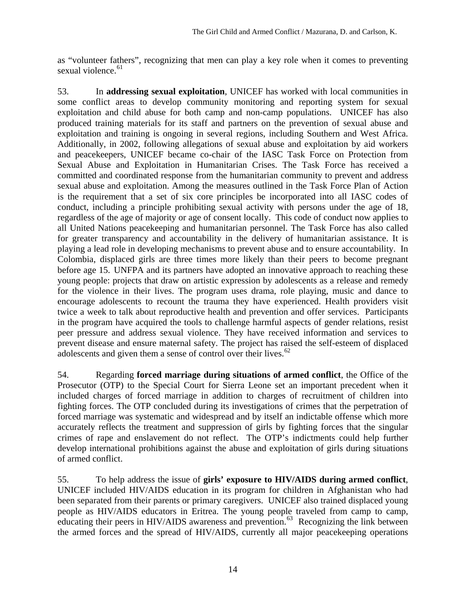as "volunteer fathers", recognizing that men can play a key role when it comes to preventing sexual violence. $61$ 

53. In **addressing sexual exploitation**, UNICEF has worked with local communities in some conflict areas to develop community monitoring and reporting system for sexual exploitation and child abuse for both camp and non-camp populations. UNICEF has also produced training materials for its staff and partners on the prevention of sexual abuse and exploitation and training is ongoing in several regions, including Southern and West Africa. Additionally, in 2002, following allegations of sexual abuse and exploitation by aid workers and peacekeepers, UNICEF became co-chair of the IASC Task Force on Protection from Sexual Abuse and Exploitation in Humanitarian Crises. The Task Force has received a committed and coordinated response from the humanitarian community to prevent and address sexual abuse and exploitation. Among the measures outlined in the Task Force Plan of Action is the requirement that a set of six core principles be incorporated into all IASC codes of conduct, including a principle prohibiting sexual activity with persons under the age of 18, regardless of the age of majority or age of consent locally. This code of conduct now applies to all United Nations peacekeeping and humanitarian personnel. The Task Force has also called for greater transparency and accountability in the delivery of humanitarian assistance. It is playing a lead role in developing mechanisms to prevent abuse and to ensure accountability. In Colombia, displaced girls are three times more likely than their peers to become pregnant before age 15. UNFPA and its partners have adopted an innovative approach to reaching these young people: projects that draw on artistic expression by adolescents as a release and remedy for the violence in their lives. The program uses drama, role playing, music and dance to encourage adolescents to recount the trauma they have experienced. Health providers visit twice a week to talk about reproductive health and prevention and offer services. Participants in the program have acquired the tools to challenge harmful aspects of gender relations, resist peer pressure and address sexual violence. They have received information and services to prevent disease and ensure maternal safety. The project has raised the self-esteem of displaced adolescents and given them a sense of control over their lives.<sup>[62](#page-20-1)</sup>

54. Regarding **forced marriage during situations of armed conflict**, the Office of the Prosecutor (OTP) to the Special Court for Sierra Leone set an important precedent when it included charges of forced marriage in addition to charges of recruitment of children into fighting forces. The OTP concluded during its investigations of crimes that the perpetration of forced marriage was systematic and widespread and by itself an indictable offense which more accurately reflects the treatment and suppression of girls by fighting forces that the singular crimes of rape and enslavement do not reflect. The OTP's indictments could help further develop international prohibitions against the abuse and exploitation of girls during situations of armed conflict.

55. To help address the issue of **girls' exposure to HIV/AIDS during armed conflict**, UNICEF included HIV/AIDS education in its program for children in Afghanistan who had been separated from their parents or primary caregivers. UNICEF also trained displaced young people as HIV/AIDS educators in Eritrea. The young people traveled from camp to camp, educating their peers in HIV/AIDS awareness and prevention.<sup>[63](#page-20-1)</sup> Recognizing the link between the armed forces and the spread of HIV/AIDS, currently all major peacekeeping operations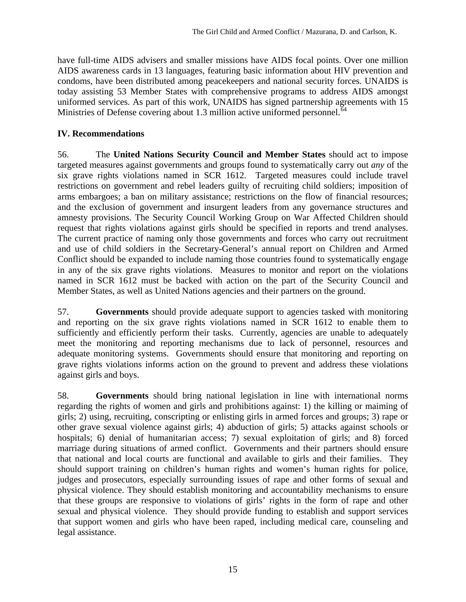have full-time AIDS advisers and smaller missions have AIDS focal points. Over one million AIDS awareness cards in 13 languages, featuring basic information about HIV prevention and condoms, have been distributed among peacekeepers and national security forces. UNAIDS is today assisting 53 Member States with comprehensive programs to address AIDS amongst uniformed services. As part of this work, UNAIDS has signed partnership agreements with 15 Ministries of Defense covering about 1.3 million active uniformed personnel.<sup>[64](#page-20-1)</sup>

#### **IV. Recommendations**

56. The **United Nations Security Council and Member States** should act to impose targeted measures against governments and groups found to systematically carry out *any* of the six grave rights violations named in SCR 1612. Targeted measures could include travel restrictions on government and rebel leaders guilty of recruiting child soldiers; imposition of arms embargoes; a ban on military assistance; restrictions on the flow of financial resources; and the exclusion of government and insurgent leaders from any governance structures and amnesty provisions. The Security Council Working Group on War Affected Children should request that rights violations against girls should be specified in reports and trend analyses. The current practice of naming only those governments and forces who carry out recruitment and use of child soldiers in the Secretary-General's annual report on Children and Armed Conflict should be expanded to include naming those countries found to systematically engage in any of the six grave rights violations. Measures to monitor and report on the violations named in SCR 1612 must be backed with action on the part of the Security Council and Member States, as well as United Nations agencies and their partners on the ground.

57. **Governments** should provide adequate support to agencies tasked with monitoring and reporting on the six grave rights violations named in SCR 1612 to enable them to sufficiently and efficiently perform their tasks. Currently, agencies are unable to adequately meet the monitoring and reporting mechanisms due to lack of personnel, resources and adequate monitoring systems. Governments should ensure that monitoring and reporting on grave rights violations informs action on the ground to prevent and address these violations against girls and boys.

58. **Governments** should bring national legislation in line with international norms regarding the rights of women and girls and prohibitions against: 1) the killing or maiming of girls; 2) using, recruiting, conscripting or enlisting girls in armed forces and groups; 3) rape or other grave sexual violence against girls; 4) abduction of girls; 5) attacks against schools or hospitals; 6) denial of humanitarian access; 7) sexual exploitation of girls; and 8) forced marriage during situations of armed conflict. Governments and their partners should ensure that national and local courts are functional and available to girls and their families. They should support training on children's human rights and women's human rights for police, judges and prosecutors, especially surrounding issues of rape and other forms of sexual and physical violence. They should establish monitoring and accountability mechanisms to ensure that these groups are responsive to violations of girls' rights in the form of rape and other sexual and physical violence. They should provide funding to establish and support services that support women and girls who have been raped, including medical care, counseling and legal assistance.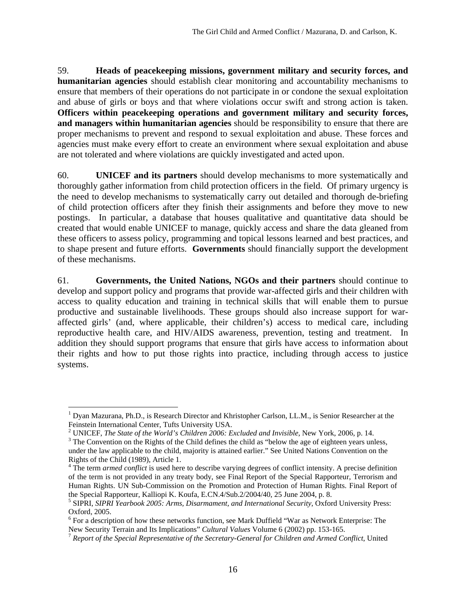59. **Heads of peacekeeping missions, government military and security forces, and humanitarian agencies** should establish clear monitoring and accountability mechanisms to ensure that members of their operations do not participate in or condone the sexual exploitation and abuse of girls or boys and that where violations occur swift and strong action is taken. **Officers within peacekeeping operations and government military and security forces, and managers within humanitarian agencies** should be responsibility to ensure that there are proper mechanisms to prevent and respond to sexual exploitation and abuse. These forces and agencies must make every effort to create an environment where sexual exploitation and abuse are not tolerated and where violations are quickly investigated and acted upon.

60. **UNICEF and its partners** should develop mechanisms to more systematically and thoroughly gather information from child protection officers in the field. Of primary urgency is the need to develop mechanisms to systematically carry out detailed and thorough de-briefing of child protection officers after they finish their assignments and before they move to new postings. In particular, a database that houses qualitative and quantitative data should be created that would enable UNICEF to manage, quickly access and share the data gleaned from these officers to assess policy, programming and topical lessons learned and best practices, and to shape present and future efforts. **Governments** should financially support the development of these mechanisms.

61. **Governments, the United Nations, NGOs and their partners** should continue to develop and support policy and programs that provide war-affected girls and their children with access to quality education and training in technical skills that will enable them to pursue productive and sustainable livelihoods. These groups should also increase support for waraffected girls' (and, where applicable, their children's) access to medical care, including reproductive health care, and HIV/AIDS awareness, prevention, testing and treatment. In addition they should support programs that ensure that girls have access to information about their rights and how to put those rights into practice, including through access to justice systems.

 $\overline{a}$ 

<sup>&</sup>lt;sup>1</sup> Dyan Mazurana, Ph.D., is Research Director and Khristopher Carlson, LL.M., is Senior Researcher at the Feinstein International Center, Tufts University USA. 2

UNICEF, *The State of the World's Children 2006: Excluded and Invisible*, New York, 2006, p. 14. 3

<sup>&</sup>lt;sup>3</sup> The Convention on the Rights of the Child defines the child as "below the age of eighteen years unless, under the law applicable to the child, majority is attained earlier." See United Nations Convention on the Rights of the Child (1989), Article 1.

<sup>&</sup>lt;sup>4</sup> The term *armed conflict* is used here to describe varying degrees of conflict intensity. A precise definition of the term is not provided in any treaty body, see Final Report of the Special Rapporteur, Terrorism and Human Rights. UN Sub-Commission on the Promotion and Protection of Human Rights. Final Report of the Special Rapporteur, Kalliopi K. Koufa, E.CN.4/Sub.2/2004/40, 25 June 2004, p. 8.

<sup>5</sup> SIPRI, *SIPRI Yearbook 2005: Arms, Disarmament, and International Security*, Oxford University Press: Oxford, 2005.

<sup>&</sup>lt;sup>6</sup> For a description of how these networks function, see Mark Duffield "War as Network Enterprise: The New Security Terrain and Its Implications" *Cultural Values* Volume 6 (2002) pp. 153-165.<br><sup>7</sup> *Report of the Special Representative of the Secretary-General for Children and Armed Conflict*, United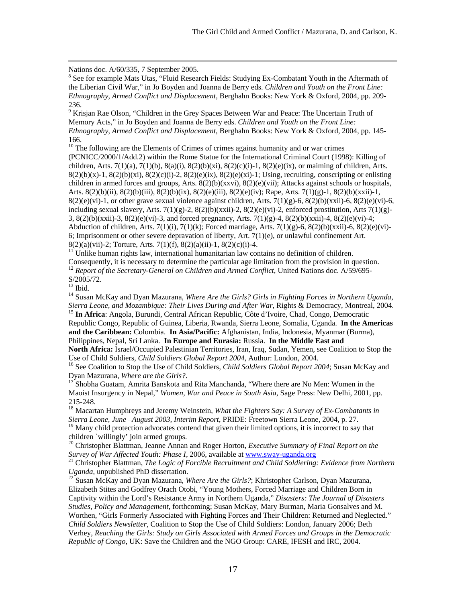Nations doc. A/60/335, 7 September 2005.

<sup>8</sup> See for example Mats Utas, "Fluid Research Fields: Studying Ex-Combatant Youth in the Aftermath of the Liberian Civil War," in Jo Boyden and Joanna de Berry eds. *Children and Youth on the Front Line: Ethnography, Armed Conflict and Displacement*, Berghahn Books: New York & Oxford, 2004, pp. 209- 236.

<sup>9</sup> Krisjan Rae Olson, "Children in the Grey Spaces Between War and Peace: The Uncertain Truth of Memory Acts," in Jo Boyden and Joanna de Berry eds. *Children and Youth on the Front Line: Ethnography, Armed Conflict and Displacement,* Berghahn Books: New York & Oxford, 2004, pp. 145- 166.

 $10$  The following are the Elements of Crimes of crimes against humanity and or war crimes (PCNICC/2000/1/Add.2) within the Rome Statue for the International Criminal Court (1998): Killing of children, Arts. 7(1)(a), 7(1)(b), 8(a)(i), 8(2)(b)(xi), 8(2)(c)(i)-1, 8(2)(e)(ix), or maiming of children, Arts.  $8(2)(b)(x)-1$ ,  $8(2)(b)(xi)$ ,  $8(2)(c)(i)-2$ ,  $8(2)(e)(ix)$ ,  $8(2)(e)(xi)-1$ ; Using, recruiting, conscripting or enlisting children in armed forces and groups, Arts. 8(2)(b)(xxvi), 8(2)(e)(vii); Attacks against schools or hospitals, Arts. 8(2)(b)(ii), 8(2)(b)(iii), 8(2)(b)(ix), 8(2)(e)(iii), 8(2)(e)(iv); Rape, Arts. 7(1)(g)-1, 8(2)(b)(xxii)-1,  $8(2)(e)(vi)$ -1, or other grave sexual violence against children, Arts. 7(1)(g)-6,  $8(2)(b)(xxii)$ -6,  $8(2)(e)(vi)$ -6, including sexual slavery, Arts.  $7(1)(g)-2$ ,  $8(2)(b)(xxii)-2$ ,  $8(2)(e)(vi)-2$ , enforced prostitution, Arts  $7(1)(g)$ -3,  $8(2)(b)(xxii)$ -3,  $8(2)(e)(vi)$ -3, and forced pregnancy, Arts.  $7(1)(g)$ -4,  $8(2)(b)(xxii)$ -4,  $8(2)(e)(vi)$ -4; Abduction of children, Arts. 7(1)(i), 7(1)(k); Forced marriage, Arts. 7(1)(g)-6, 8(2)(b)(xxii)-6, 8(2)(e)(vi)-6; Imprisonment or other severe depravation of liberty, Art. 7(1)(e), or unlawful confinement Art.  $8(2)(a)(vii)$ -2; Torture, Arts. 7(1)(f),  $8(2)(a)(ii)$ -1,  $8(2)(c)(i)$ -4.

 $11$  Unlike human rights law, international humanitarian law contains no definition of children.

Consequently, it is necessary to determine the particular age limitation from the provision in question. 12 *Report of the Secretary-General on Children and Armed Conflict*, United Nations doc. A/59/695-

S/2005/72.

 $13$  Ibid.

<sup>14</sup> Susan McKay and Dyan Mazurana, *Where Are the Girls? Girls in Fighting Forces in Northern Uganda, Sierra Leone, and Mozambique: Their Lives During and After War*, Rights & Democracy, Montreal, 2004. 15 **In Africa**: Angola, Burundi, Central African Republic, Côte d'Ivoire, Chad, Congo, Democratic

Republic Congo, Republic of Guinea, Liberia, Rwanda, Sierra Leone, Somalia, Uganda. **In the Americas and the Caribbean:** Colombia. **In Asia/Pacific:** Afghanistan, India, Indonesia, Myanmar (Burma), Philippines, Nepal, Sri Lanka. **In Europe and Eurasia:** Russia. **In the Middle East and North Africa:** Israel/Occupied Palestinian Territories, Iran, Iraq, Sudan, Yemen, see Coalition to Stop the

Use of Child Soldiers, *Child Soldiers Global Report 2004*, Author: London, 2004. 16 See Coalition to Stop the Use of Child Soldiers, *Child Soldiers Global Report 2004*; Susan McKay and

Dyan Mazurana, *Where are the Girls?*.<br><sup>17</sup> Shobha Guatam, Amrita Banskota and Rita Manchanda, "Where there are No Men: Women in the

Maoist Insurgency in Nepal," *Women, War and Peace in South Asia*, Sage Press: New Delhi, 2001, pp. 215-248.

18 Macartan Humphreys and Jeremy Weinstein, *What the Fighters Say: A Survey of Ex-Combatants in Sierra Leone, June –August 2003, Interim Report*, PRIDE: Freetown Sierra Leone, 2004, p. 27.

<sup>19</sup> Many child protection advocates contend that given their limited options, it is incorrect to say that children `willingly' join armed groups.

20 Christopher Blattman, Jeanne Annan and Roger Horton, *Executive Summary of Final Report on the Survey of War Affected Youth: Phase I, 2006, available at <u>[www.sway-uganda.org](http://www.sway-uganda.org/)</u><br><sup>21</sup> Christopher Blattman, <i>The Logic of Forcible Recruitment and Child Soldiering: Evidence from Northern* 

*Uganda*, unpublished PhD dissertation.<br><sup>22</sup> Susan McKay and Dyan Mazurana, *Where Are the Girls?*; Khristopher Carlson, Dyan Mazurana,

Elizabeth Stites and Godfrey Orach Otobi, "Young Mothers, Forced Marriage and Children Born in Captivity within the Lord's Resistance Army in Northern Uganda," *Disasters: The Journal of Disasters Studies, Policy and Management*, forthcoming; Susan McKay, Mary Burman, Maria Gonsalves and M. Worthen, "Girls Formerly Associated with Fighting Forces and Their Children: Returned and Neglected." *Child Soldiers Newsletter*, Coalition to Stop the Use of Child Soldiers: London, January 2006; Beth Verhey, *Reaching the Girls: Study on Girls Associated with Armed Forces and Groups in the Democratic Republic of Congo,* UK: Save the Children and the NGO Group: CARE, IFESH and IRC, 2004.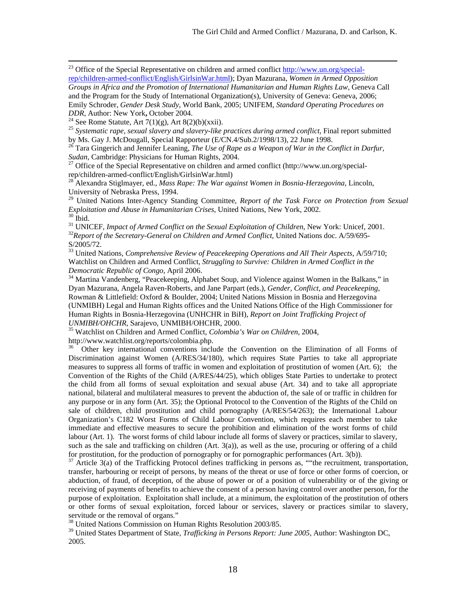<sup>23</sup> Office of the Special Representative on children and armed conflict [http://www.un.org/special](http://www.un.org/special-rep/children-armed-conflict/English/GirlsinWar.html)[rep/children-armed-conflict/English/GirlsinWar.html](http://www.un.org/special-rep/children-armed-conflict/English/GirlsinWar.html)); Dyan Mazurana, *Women in Armed Opposition* 

*Groups in Africa and the Promotion of International Humanitarian and Human Rights Law*, Geneva Call and the Program for the Study of International Organization(s), University of Geneva: Geneva, 2006; Emily Schroder, *Gender Desk Study*, World Bank, 2005; UNIFEM, *Standard Operating Procedures on* 

<sup>24</sup> See Rome Statute, Art  $7(1)(g)$ , Art 8(2)(b)(xxii).

<sup>25</sup> Systematic rape, sexual slavery and slavery-like practices during armed conflict, Final report submitted<br>by Ms. Gay J. McDougall, Special Rapporteur (E/CN.4/Sub.2/1998/13), 22 June 1998.

<sup>26</sup> Tara Gingerich and Jennifer Leaning, The Use of Rape as a Weapon of War in the Conflict in Darfur, *Sudan*, Cambridge: Physicians for Human Rights, 2004.<br><sup>27</sup> Office of the Special Representative on children and armed conflict (http://www.un.org/special-

rep/children-armed-conflict/English/GirlsinWar.html)

28 Alexandra Stiglmayer, ed., *Mass Rape: The War against Women in Bosnia-Herzegovina*, Lincoln, University of Nebraska Press, 1994.

29 United Nations Inter-Agency Standing Committee, *Report of the Task Force on Protection from Sexual Exploitation and Abuse in Humanitarian Crises*, United Nations, New York, 2002.<br><sup>30</sup> Ibid.

<sup>31</sup> UNICEF, *Impact of Armed Conflict on the Sexual Exploitation of Children*, New York: Unicef, 2001.<br><sup>32</sup>*Report of the Secretary-General on Children and Armed Conflict*, United Nations doc. A/59/695-<br>S/2005/72.

<sup>33</sup> United Nations, *Comprehensive Review of Peacekeeping Operations and All Their Aspects*, A/59/710; Watchlist on Children and Armed Conflict, *Struggling to Survive: Children in Armed Conflict in the Democratic Republic of Congo*, April 2006.<br><sup>34</sup> Martina Vandenberg, "Peacekeeping, Alphabet Soup, and Violence against Women in the Balkans," in

Dyan Mazurana, Angela Raven-Roberts, and Jane Parpart (eds.), *Gender, Conflict, and Peacekeeping*, Rowman & Littlefield: Oxford & Boulder, 2004; United Nations Mission in Bosnia and Herzegovina (UNMIBH) Legal and Human Rights offices and the United Nations Office of the High Commissioner for Human Rights in Bosnia-Herzegovina (UNHCHR in BiH), *Report on Joint Trafficking Project of* 

<sup>35</sup> Watchlist on Children and Armed Conflict, *Colombia's War on Children*, 2004, http://www.watchlist.org/reports/colombia.php.

36 Other key international conventions include the Convention on the Elimination of all Forms of Discrimination against Women (A/RES/34/180), which requires State Parties to take all appropriate measures to suppress all forms of traffic in women and exploitation of prostitution of women (Art. 6); the Convention of the Rights of the Child (A/RES/44/25), which obliges State Parties to undertake to protect the child from all forms of sexual exploitation and sexual abuse (Art. 34) and to take all appropriate national, bilateral and multilateral measures to prevent the abduction of, the sale of or traffic in children for any purpose or in any form (Art. 35); the Optional Protocol to the Convention of the Rights of the Child on sale of children, child prostitution and child pornography (A/RES/54/263); the International Labour Organization's C182 Worst Forms of Child Labour Convention, which requires each member to take immediate and effective measures to secure the prohibition and elimination of the worst forms of child labour (Art. 1). The worst forms of child labour include all forms of slavery or practices, similar to slavery, such as the sale and trafficking on children (Art. 3(a)), as well as the use, procuring or offering of a child for prostitution, for the production of pornography or for pornographic performances (Art. 3(b)).<br><sup>37</sup> Article 3(a) of the Trafficking Protocol defines trafficking in persons as, ""the recruitment, transportation,

transfer, harbouring or receipt of persons, by means of the threat or use of force or other forms of coercion, or abduction, of fraud, of deception, of the abuse of power or of a position of vulnerability or of the giving or receiving of payments of benefits to achieve the consent of a person having control over another person, for the purpose of exploitation. Exploitation shall include, at a minimum, the exploitation of the prostitution of others or other forms of sexual exploitation, forced labour or services, slavery or practices similar to slavery, servitude or the removal of organs."

<sup>38</sup> United Nations Commission on Human Rights Resolution 2003/85.

39 United States Department of State, *Trafficking in Persons Report: June 2005,* Author: Washington DC, 2005.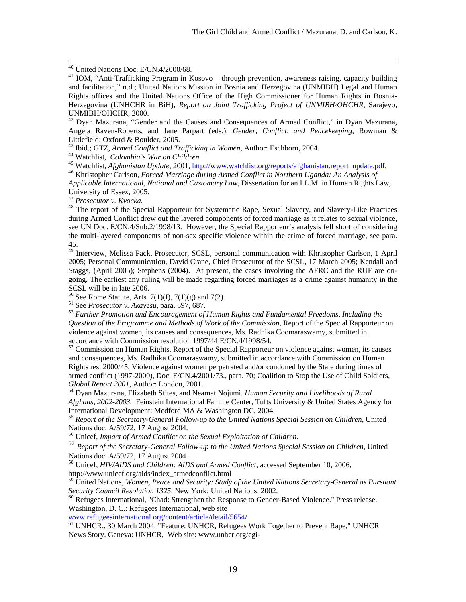40 United Nations Doc. E/CN.4/2000/68.

<sup>42</sup> Dyan Mazurana, "Gender and the Causes and Consequences of Armed Conflict," in Dyan Mazurana, Angela Raven-Roberts, and Jane Parpart (eds.), *Gender, Conflict, and Peacekeeping*, Rowman & Littlefield: Oxford & Boulder, 2005.<br><sup>43</sup> Ibid.; GTZ, Armed Conflict and Trafficking in Women, Author: Eschborn, 2004.

<sup>44</sup> Watchlist, *Colombia's War on Children*.<br><sup>45</sup> Watchlist, *Afghanistan Update*, 2001, <u>http://www.watchlist.org/reports/afghanistan.report\_update.pdf</u>.<br><sup>46</sup> Khristopher Carlson, *Forced Marriage during Armed Conflict i* 

*Applicable International, National and Customary Law*, Dissertation for an LL.M. in Human Rights Law, University of Essex, 2005.<br><sup>47</sup> Prosecutor v. Kvocka.

<sup>48</sup> The report of the Special Rapporteur for Systematic Rape, Sexual Slavery, and Slavery-Like Practices during Armed Conflict drew out the layered components of forced marriage as it relates to sexual violence, see UN Doc. E/CN.4/Sub.2/1998/13. However, the Special Rapporteur's analysis fell short of considering the multi-layered components of non-sex specific violence within the crime of forced marriage, see para. 45.

49 Interview, Melissa Pack, Prosecutor, SCSL, personal communication with Khristopher Carlson, 1 April 2005; Personal Communication, David Crane, Chief Prosecutor of the SCSL, 17 March 2005; Kendall and Staggs, (April 2005); Stephens (2004). At present, the cases involving the AFRC and the RUF are ongoing. The earliest any ruling will be made regarding forced marriages as a crime against humanity in the SCSL will be in late 2006.

<sup>50</sup> See Rome Statute, Arts. 7(1)(f), 7(1)(g) and 7(2).<br><sup>51</sup> See *Prosecutor v. Akayesu*, para. 597, 687.

<sup>52</sup> Further Promotion and Encouragement of Human Rights and Fundamental Freedoms, Including the *Question of the Programme and Methods of Work of the Commission*, Report of the Special Rapporteur on violence against women, its causes and consequences, Ms. Radhika Coomaraswamy, submitted in accordance with Commission resolution 1997/44 E/CN.4/1998/54.

 $53$  Commission on Human Rights, Report of the Special Rapporteur on violence against women, its causes and consequences, Ms. Radhika Coomaraswamy, submitted in accordance with Commission on Human Rights res. 2000/45, Violence against women perpetrated and/or condoned by the State during times of armed conflict (1997-2000), Doc. E/CN.4/2001/73., para. 70; Coalition to Stop the Use of Child Soldiers, *Global Report 2001*, Author: London, 2001.<br><sup>54</sup> Dyan Mazurana, Elizabeth Stites, and Neamat Nojumi. *Human Security and Livelihoods of Rural* 

*Afghans, 2002-2003.* Feinstein International Famine Center, Tufts University & United States Agency for International Development: Medford MA & Washington DC, 2004.

<sup>55</sup> *Report of the Secretary-General Follow-up to the United Nations Special Session on Children*, United Nations doc. A/59/72, 17 August 2004.<br><sup>56</sup> Unicef, *Impact of Armed Conflict on the Sexual Exploitation of Children.* 

56 Unicef, *Impact of Armed Conflict on the Sexual Exploitation of Children*. 57 *Report of the Secretary-General Follow-up to the United Nations Special Session on Children*, United Nations doc. A/59/72, 17 August 2004.

58 Unicef, *HIV/AIDS and Children: AIDS and Armed Conflict,* accessed September 10, 2006, http://www.unicef.org/aids/index\_armedconflict.html

59 United Nations, *Women, Peace and Security: Study of the United Nations Secretary-General as Pursuant Security Council Resolution 1325*, New York: United Nations, 2002.<br><sup>60</sup> Refugees International, "Chad: Strengthen the Response to Gender-Based Violence." Press release.

Washington, D. C.: Refugees International, web site

[www.refugeesinternational.org/content/article/detail/5654/](http://www.refugeesinternational.org/content/article/detail/5654/)

61 UNHCR., 30 March 2004, "Feature: UNHCR, Refugees Work Together to Prevent Rape," UNHCR News Story, Geneva: UNHCR, Web site: [www.unhcr.org/cgi-](http://www.unhcr.org/cgi-bin/texis/vtx/news/opendoc.htm?tbl=NEWS&page=home&id=40697ab57)

 $41$  IOM, "Anti-Trafficking Program in Kosovo – through prevention, awareness raising, capacity building and facilitation," n.d.; United Nations Mission in Bosnia and Herzegovina (UNMIBH) Legal and Human Rights offices and the United Nations Office of the High Commissioner for Human Rights in Bosnia-Herzegovina (UNHCHR in BiH), *Report on Joint Trafficking Project of UNMIBH/OHCHR*, Sarajevo, UNMIBH/OHCHR, 2000.